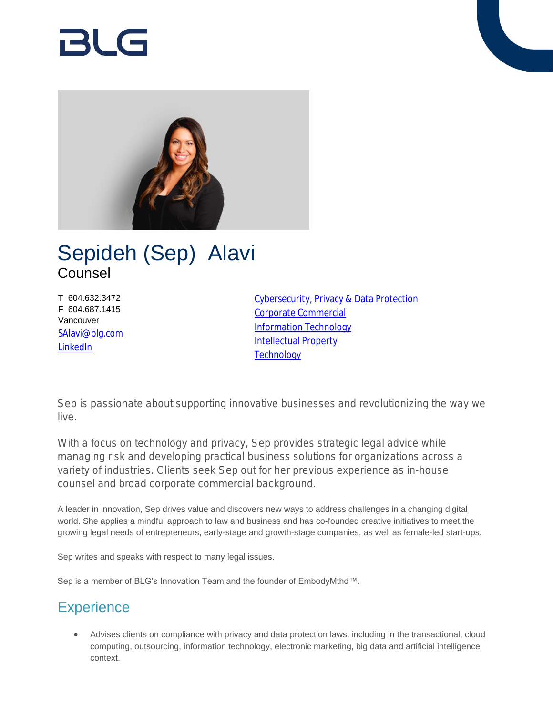# RI G



# Sepideh (Sep) Alavi Counsel

T 604.632.3472 F 604.687.1415 Vancouver [SAlavi@blg.com](mailto:SAlavi@blg.com) [LinkedIn](https://www.linkedin.com/in/sepideh-sep-alavi-46472789/)

[Cybersecurity, Privacy & Data Protection](https://www.blg.com/en/services/practice-areas/cybersecurity-privacy-data-protection) [Corporate Commercial](https://www.blg.com/en/services/practice-areas/corporate-commercial) [Information Technology](https://www.blg.com/en/services/practice-areas/information-technology) **[Intellectual Property](https://www.blg.com/en/services/practice-areas/intellectual-property) [Technology](https://www.blg.com/en/services/industries/technology)** 

Sep is passionate about supporting innovative businesses and revolutionizing the way we live.

With a focus on technology and privacy, Sep provides strategic legal advice while managing risk and developing practical business solutions for organizations across a variety of industries. Clients seek Sep out for her previous experience as in-house counsel and broad corporate commercial background.

A leader in innovation, Sep drives value and discovers new ways to address challenges in a changing digital world. She applies a mindful approach to law and business and has co-founded creative initiatives to meet the growing legal needs of entrepreneurs, early-stage and growth-stage companies, as well as female-led start-ups.

Sep writes and speaks with respect to many legal issues.

Sep is a member of BLG's Innovation Team and the founder of EmbodyMthd™.

# **Experience**

 Advises clients on compliance with privacy and data protection laws, including in the transactional, cloud computing, outsourcing, information technology, electronic marketing, big data and artificial intelligence context.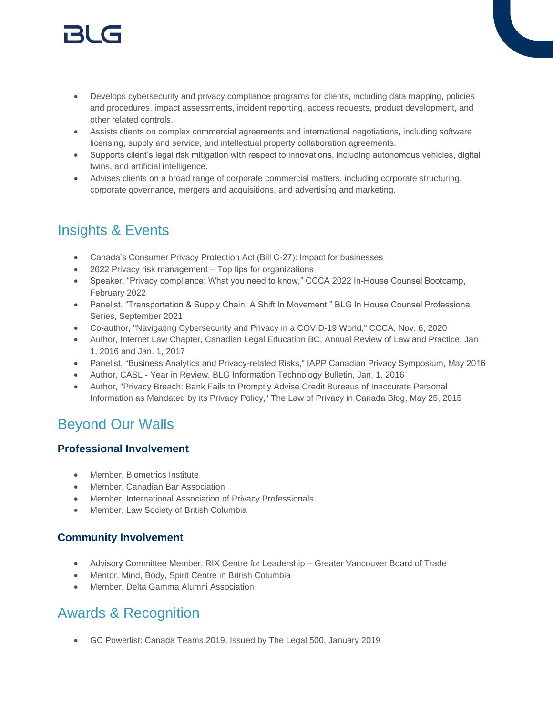# 151 (s

- Develops cybersecurity and privacy compliance programs for clients, including data mapping, policies and procedures, impact assessments, incident reporting, access requests, product development, and other related controls.
- Assists clients on complex commercial agreements and international negotiations, including software licensing, supply and service, and intellectual property collaboration agreements.
- Supports client's legal risk mitigation with respect to innovations, including autonomous vehicles, digital twins, and artificial intelligence.
- Advises clients on a broad range of corporate commercial matters, including corporate structuring, corporate governance, mergers and acquisitions, and advertising and marketing.

# Insights & Events

- Canada's Consumer Privacy Protection Act (Bill C-27): Impact for businesses
- 2022 Privacy risk management Top tips for organizations
- Speaker, "Privacy compliance: What you need to know," CCCA 2022 In-House Counsel Bootcamp, February 2022
- Panelist, "Transportation & Supply Chain: A Shift In Movement," BLG In House Counsel Professional Series, September 2021
- Co-author, "Navigating Cybersecurity and Privacy in a COVID-19 World," CCCA, Nov. 6, 2020
- Author, Internet Law Chapter, Canadian Legal Education BC, Annual Review of Law and Practice, Jan 1, 2016 and Jan. 1, 2017
- Panelist, "Business Analytics and Privacy-related Risks," IAPP Canadian Privacy Symposium, May 2016
- Author, CASL Year in Review, BLG Information Technology Bulletin, Jan. 1, 2016
- Author, "Privacy Breach: Bank Fails to Promptly Advise Credit Bureaus of Inaccurate Personal Information as Mandated by its Privacy Policy," The Law of Privacy in Canada Blog, May 25, 2015

# Beyond Our Walls

#### **Professional Involvement**

- Member, Biometrics Institute
- Member, Canadian Bar Association
- Member, International Association of Privacy Professionals
- Member, Law Society of British Columbia

#### **Community Involvement**

- Advisory Committee Member, RIX Centre for Leadership Greater Vancouver Board of Trade
- Mentor, Mind, Body, Spirit Centre in British Columbia
- Member, Delta Gamma Alumni Association

### Awards & Recognition

GC Powerlist: Canada Teams 2019, Issued by The Legal 500, January 2019